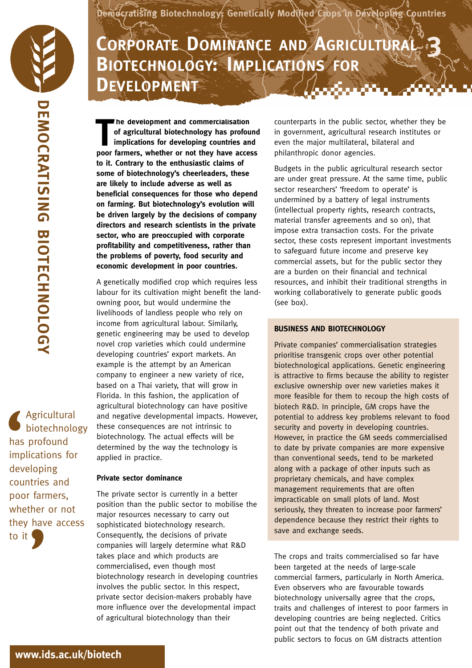**Democratising Biotechnology: Genetically Modified Crops in Developing Countries**

## **3 CORPORATE DOMINANCEAND AGRICULTURAL BIOTECHNOLOGY: IMPLICATIONS FOR DEVELOPMENT** A. A. Mari

**he development and commercialisation of agricultural biotechnology has profound implications for developing countries and he development and commercialisation**<br>of agricultural biotechnology has profound<br>implications for developing countries and<br>poor farmers, whether or not they have access **to it. Contrary to the enthusiastic claims of some of biotechnology's cheerleaders, these are likely to include adverse as well as beneficial consequences for those who depend on farming. But biotechnology's evolution will be driven largely by the decisions of company directors and research scientists in the private sector, who are preoccupied with corporate profitability and competitiveness, rather than the problems of poverty, food security and economic development in poor countries.**

A genetically modified crop which requires less labour for its cultivation might benefit the landowning poor, but would undermine the livelihoods of landless people who rely on income from agricultural labour. Similarly, genetic engineering may be used to develop novel crop varieties which could undermine developing countries' export markets. An example is the attempt by an American company to engineer a new variety of rice, based on a Thai variety, that will grow in Florida. In this fashion, the application of agricultural biotechnology can have positive and negative developmental impacts. However, these consequences are not intrinsic to biotechnology. The actual effects will be determined by the way the technology is applied in practice.

## **Private sector dominance**

The private sector is currently in a better position than the public sector to mobilise the major resources necessary to carry out sophisticated biotechnology research. Consequently, the decisions of private companies will largely determine what R&D takes place and which products are commercialised, even though most biotechnology research in developing countries involves the public sector. In this respect, private sector decision-makers probably have more influence over the developmental impact of agricultural biotechnology than their

counterparts in the public sector, whether they be in government, agricultural research institutes or even the major multilateral, bilateral and philanthropic donor agencies.

Budgets in the public agricultural research sector are under great pressure. At the same time, public sector researchers' 'freedom to operate' is undermined by a battery of legal instruments (intellectual property rights, research contracts, material transfer agreements and so on), that impose extra transaction costs. For the private sector, these costs represent important investments to safeguard future income and preserve key commercial assets, but for the public sector they are a burden on their financial and technical resources, and inhibit their traditional strengths in working collaboratively to generate public goods (see box).

## **BUSINESS AND BIOTECHNOLOGY**

Private companies' commercialisation strategies prioritise transgenic crops over other potential biotechnological applications. Genetic engineering is attractive to firms because the ability to register exclusive ownership over new varieties makes it more feasible for them to recoup the high costs of biotech R&D. In principle, GM crops have the potential to address key problems relevant to food security and poverty in developing countries. However, in practice the GM seeds commercialised to date by private companies are more expensive than conventional seeds, tend to be marketed along with a package of other inputs such as proprietary chemicals, and have complex management requirements that are often impracticable on small plots of land. Most seriously, they threaten to increase poor farmers' dependence because they restrict their rights to save and exchange seeds.

The crops and traits commercialised so far have been targeted at the needs of large-scale commercial farmers, particularly in North America. Even observers who are favourable towards biotechnology universally agree that the crops, traits and challenges of interest to poor farmers in developing countries are being neglected. Critics point out that the tendency of both private and public sectors to focus on GM distracts attention

Agricultural biotechnology has profound implications for developing countries and poor farmers, whether or not they have access to it **S**<br>
has<br>
imp<br>
dev **'**

**www.ids.ac.uk/biotech**